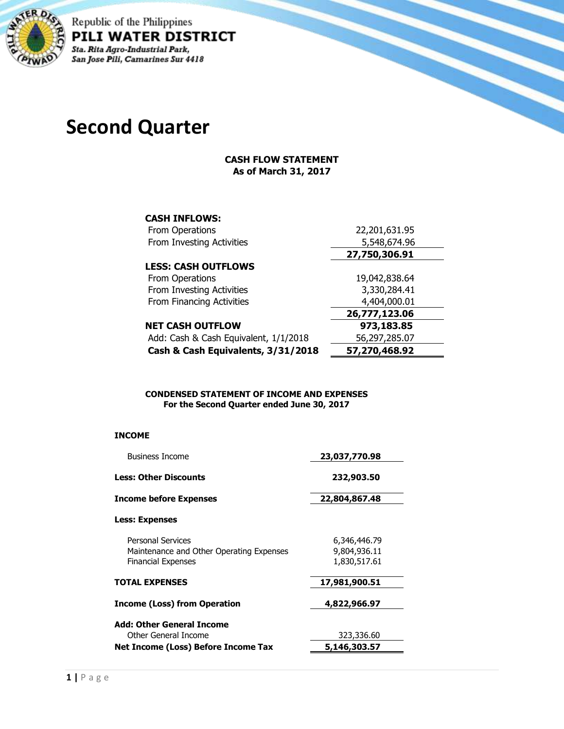

Republic of the Philippines PILI WATER DISTRICT Sta. Rita Agro-Industrial Park, San Jose Pili, Camarines Sur 4418

# **Second Quarter**

### **CASH FLOW STATEMENT As of March 31, 2017**

| <b>CASH INFLOWS:</b>                  |               |
|---------------------------------------|---------------|
| From Operations                       | 22,201,631.95 |
| From Investing Activities             | 5,548,674.96  |
|                                       | 27,750,306.91 |
| <b>LESS: CASH OUTFLOWS</b>            |               |
| From Operations                       | 19,042,838.64 |
| From Investing Activities             | 3,330,284.41  |
| From Financing Activities             | 4,404,000.01  |
|                                       | 26,777,123.06 |
| <b>NET CASH OUTFLOW</b>               | 973,183.85    |
| Add: Cash & Cash Equivalent, 1/1/2018 | 56,297,285.07 |
| Cash & Cash Equivalents, 3/31/2018    | 57,270,468.92 |

#### **CONDENSED STATEMENT OF INCOME AND EXPENSES For the Second Quarter ended June 30, 2017**

#### **INCOME**

| <b>Business Income</b>                                                                            | 23,037,770.98                                |
|---------------------------------------------------------------------------------------------------|----------------------------------------------|
| <b>Less: Other Discounts</b>                                                                      | 232,903.50                                   |
| <b>Income before Expenses</b>                                                                     | 22,804,867.48                                |
| <b>Less: Expenses</b>                                                                             |                                              |
| <b>Personal Services</b><br>Maintenance and Other Operating Expenses<br><b>Financial Expenses</b> | 6,346,446.79<br>9,804,936.11<br>1,830,517.61 |
| <b>TOTAL EXPENSES</b>                                                                             | 17,981,900.51                                |
| <b>Income (Loss) from Operation</b>                                                               | 4,822,966.97                                 |
| Add: Other General Income                                                                         |                                              |
| Other General Income                                                                              | 323,336.60                                   |
| Net Income (Loss) Before Income Tax                                                               | 5,146,303.57                                 |